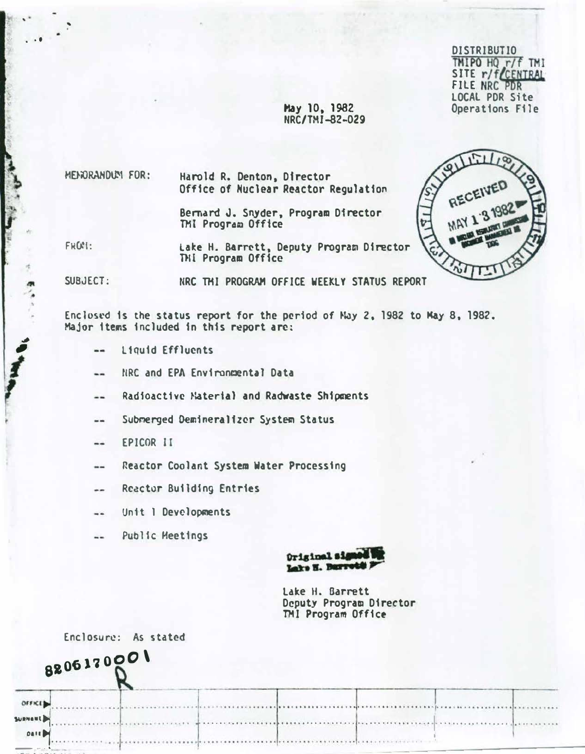TMIPO HQ r/f **BUTIO**<br>HQ r/f TMI SITE *r/f* FILE HAL LOCAL FUR SILE Operations File

RECEIVED

## Hay 10, 1982  $U<sub>NC</sub>$   $U<sub>1</sub>$   $U<sub>2</sub> - U<sub>2</sub>$

MEHORANDUM FOR:

• • •

' .

'

"\*  $\bullet$ 

I

r

Harold R. Denton, Director Office of Nuclear Reactor Regulation

Bernard J. Snyder, Program Director TMI Program Office

FROM: La�e H. B�rrctt, Deputy Program Director THI Program Office

SUBJECT:

NRC TMI PROGRAM OFFICE WEEKLY STATUS REPORT

Enclosed is the status report for the period of May 2, 1982 to May 8, 1982. Major 1tems included in this report are:

- l1qu1d Effluents
- NRC and EPA Environmental Data
- Radioactive Material and Radwaste Shipments --
- Submerged Demineral1zcr System Status  $\overline{a}$
- EPICOR II --
- **Reactor Coolant System Water Processing** --
- Reactor Building Entries --
- Unit 1 Developments --
- Public Heet1ngs  $-1$



Lake H. Barrett Deputy Program Director TMI Program Office

· ..

Enclosure: As stated



- . 1····· ········ · · + ··················.························ · · ·········· ··········· ·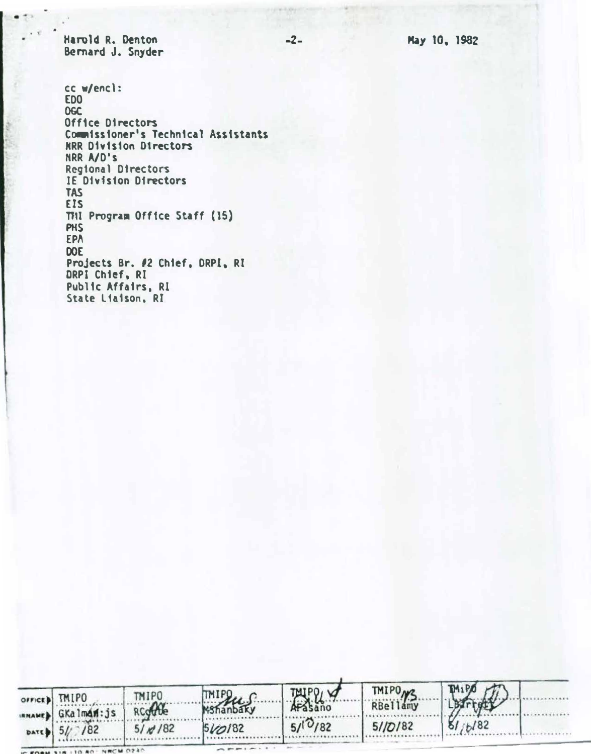-2- Hay 10. 1982

Harold R. Denton Bernard J. Snyder

 $\bullet$   $\circ$ 

cc w/encl: EDO OGC Office Directors Commissioner's Technical Assistants HRR Divtston 01rectors NRR A/D's Regional Directors IE Division Directors TAS EIS THI Program Office Staff (15) PHS EPA DOE Projects Br. 12 Chief. ORPI. RI DRPI Chief, RI Public Affairs. RI State Liaison. RI

| office) TMIPO       | <b>TMIPO</b> | TMIPLUS                  | TAIPPLY | TMIPO ys. | TMIPS AT |
|---------------------|--------------|--------------------------|---------|-----------|----------|
| IRMAMED GKalman: js | RCoffe       |                          |         |           | LBarrett |
| DATE $ 5!/ /82$     | $5/\pi/82$   | $5\frac{\cancel{10}}{3}$ | 5/10/82 | 5/10/82   | 81/b/82  |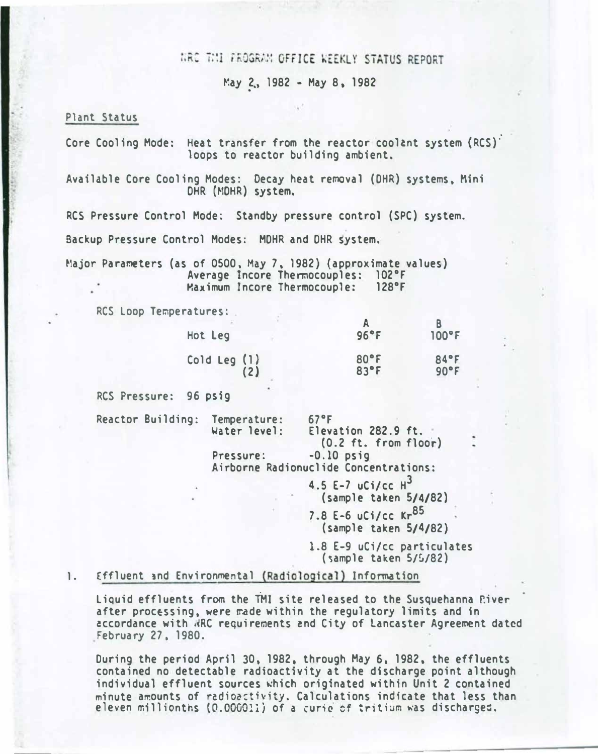# WRC THI FROGRAM OFFICE WEEKLY STATUS REPORT

May 2., 1982 - May 8. 1982

#### Plant Status

Core Cooling Mode: Heat transfer from the reactor coolant system (RCS): loops to reactor building ambient.

Available Core Cooling Modes: Decay heat removal (DHR) systems, Mini OHR (MOHR) system.

RCS Pressure Control Mode: Standby pressure control (SPC) system.

Backup Pressure Control Modes: MOHR and OHR system.

Major Parameters (as of 0500, May 7, 1982) (approximate values) Average Incore Thermocouples: 102°F Maximum Incore Thermocouple: 128°F

RCS Loop Temperatures:

| Hot Leg      | 96°F | $100^{\circ}$ F |
|--------------|------|-----------------|
| Cold Leg (1) | 80°F | 84°F            |
| (2)          | 83°F | 90°F            |

RCS Pressure: 96 psig

Reactor Building: Temperature: 67°F

|  | perature: |  | 67 |
|--|-----------|--|----|
|  | er level: |  | E1 |

Water level: Elevation 282.9 ft. (0.2 ft. from floor)

Pressure: -0.10 psig Airborne Radionuclide Concentrations:

> 4.5 E-7 uCi/cc  $H^3$ (sample taken 5/4/82)

7.8 E-6 uCi/cc Kr<sup>85</sup> (sample taken 5/4/82)

1.8 E-9 uCi/cc particulates (�ample taken 5/�/82)

- -----�-------

#### 1. Effluent and Environmental (Radiological) Information

Liquid effluents from the TMI site released to the Susquehanna Piver after processing, were made within the regulatory limits and in �ccordance with .�RC requirements �nd City of Lancaster Agreement dated February 27. 1980.

During the period Apri1 30. 1982. through May 6. 1982. the effluents contained no detectable radioactivity at the discharge point although individual effluent sources which originated within Unit 2 contained minute amounts of radioactivity. Calculations indicate that less than eleven millionths (0.000011) of a curie of tritium was discharged.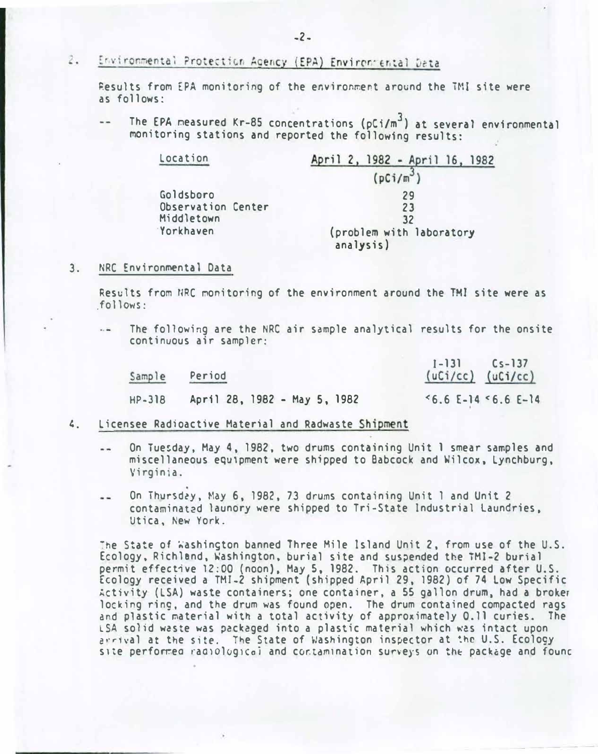#### 2. Environmental Protection Agency (EPA) Environmental Data

Results from EPA monitoring of the environment around the TMI site were as follows:

The EPA measured Kr-85 concentrations ( $pCi/m^3$ ) at several environmental monitoring stations and reported the following results:

| Location                        | April 2, 1982 - April 16, 1982        |  |  |  |  |
|---------------------------------|---------------------------------------|--|--|--|--|
|                                 | $(pCi/m^3)$                           |  |  |  |  |
| Goldsboro<br>Observation Center | 29<br>23                              |  |  |  |  |
| Middletown                      | 32                                    |  |  |  |  |
| Yorkhaven                       | (problem with laboratory<br>analysis) |  |  |  |  |

#### 3. NRC Environmental Data

Results from HRC monitoring of the environment around the TMI site were as follows:

The following are the NRC air sample analytical results for the onsite  $\sim$ continuous air sampler:

| Sample | Period                       | $1 - 131$ $Cs - 137$<br>$(uCi/cc)$ $(uCi/cc)$ |
|--------|------------------------------|-----------------------------------------------|
| HP-318 | April 28, 1982 - May 5, 1982 | $5.6$ E-14 $5.6$ E-14                         |

- 4. Licensee Radioactive Material and Radwaste Shipment
	- On Tue�day, May 4, 1982, two drums containing Unit 1 smear samples and  $-1$ miscellaneous equ1pment were shipped to Babcock and Wilcox, Lynchburg, Virginia.
	- On Thursd�y. May 6, 1982, 73 drums containing Unit 1 and Unit 2  $-1$ contaminat2d launory were shipped to Tri-State Industrial Laundries. Utica, New York.

The State of Washington banned Three Mile Island Unit 2, from use of the U.S. Ecology, Richland, �ashington, burial site and sus�ended the TMl-2 burial permit effective 12:00 (noon), May 5, 1982. This action occurred after U.S. Ecology received a TMI-2 shipment (shipped April 29, 1982) of 74 Low Specific Activity (LSA) waste containers; one container, a 55 gallon drum. had a broker locking ring. and the drum was found open. The drum contained compacted rags and plastic material with a total activity of approximately 0.11 curies. The LSA solid w�ste was pac�aged into a plastic material which was intact upon arrival at the site. The State of Washington inspector at the U.S. Ecology site performed radiological and contamination surveys on the package and founc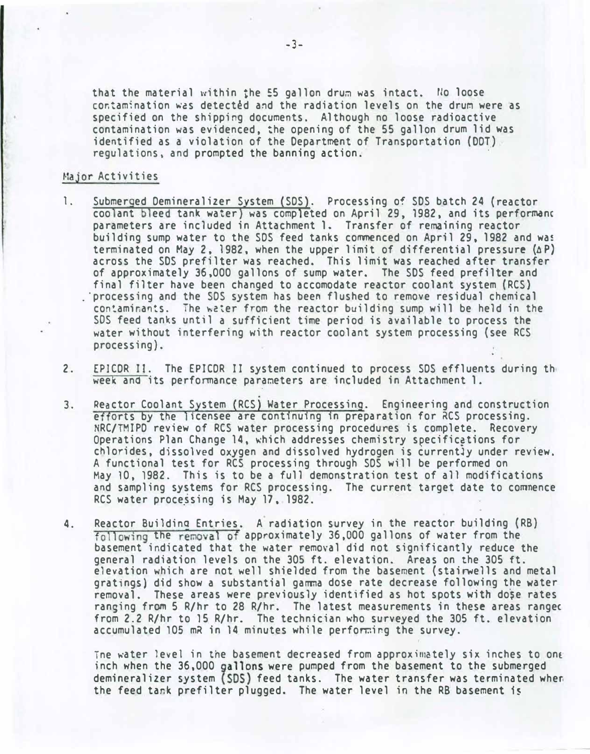that the material within the 55 gallon drum was intact. No loose cor.tamination was detected and the radiation levels on the drum were as specified on the shipping documents. Although no loose radioactive contamination was evidenced, the opening of the 55 gallon drum lid was identified as a violation of the Department of Transportation (DOT) regulations, and prompted the banning action.

#### Major Activities

- 1. Submerged Demineralizer System (SDS). Processing of SDS batch 24 (reactor coolant bleed tank water) was completed on April 29, 1982, and its performanc parameters are included in Attachment 1. Transfer of remaining reactor building sump water to the SDS feed tanks commenced on April 29, 1982 and was terminated on May 2, 1982, when the upper limit of differential pressure  $(\Delta P)$ across the SDS prefilter was reached. This limit was reached after transfer of approximately 36,000 gallons of sump water. The SDS feed prefilter and final filter have been changed to accomodate reactor coolant system (RCS) . 'processing and the SOS system has been flushed to remove residual chemical con�aminants. The w�ter from the reactor building sump will be held in the SOS feed tanks until a sufficient time period is available to process the water without interfering with reactor coolant system processing (see RCS processing).
- 2. EPlCOR II. The EPICOR II system continued to process SOS effluents during th week and its performance parameters are included in Attachment 1.
- 3. Reactor Coolant System (RCS) Water Processing. Engineering and construction efforts by the licensee are continuing in preparation for RCS processing. NRC/TMIPO review of RCS water processing procedures is complete. Recovery Operations Plan Change 14, which addresses chemistry specific�tions for chlorides, dissolved oxygen and dissolved hydrogen is currentJy under review. A functional test for RCS processing through SOS will be performed on May 10, 1982. This is to be a full demonstration test of all modifications and sampling systems for RCS processing. The current target date to commence RCS water processing is May 17, 1982.
- 4. Reactor Buildina Entries. A radiation survey in the reactor building (RB) following the re�val of approximately 36,000 gallons of water from the basement indicated that the water removal did not significantly reduce the general radiation levels on the 305ft. elevation. Areas on the 305 ft. elevation which are not well shielded from the basement (stairwells and metal gratings) did show a substantial gamma dose rate decrease following the water removal. These areas were previously identified as hot spots with do�e rates ranging from 5 R/hr to 28 R/hr. The latest measurements in these areas rangec from 2.2 R/hr to 15 R/hr. The technician who surveyed the 305 ft. elevation accumulated 105 mR in 14 minutes while perfo�ing the survey.

The water level in the basement decreased from approximately six inches to one inch when the 36,000 allons were pumped from the basement to the submerged demineralizer system (SDS) feed tanks. The water transfer was terminated when the feed tank prefilter plugged. The water level in the RB basement is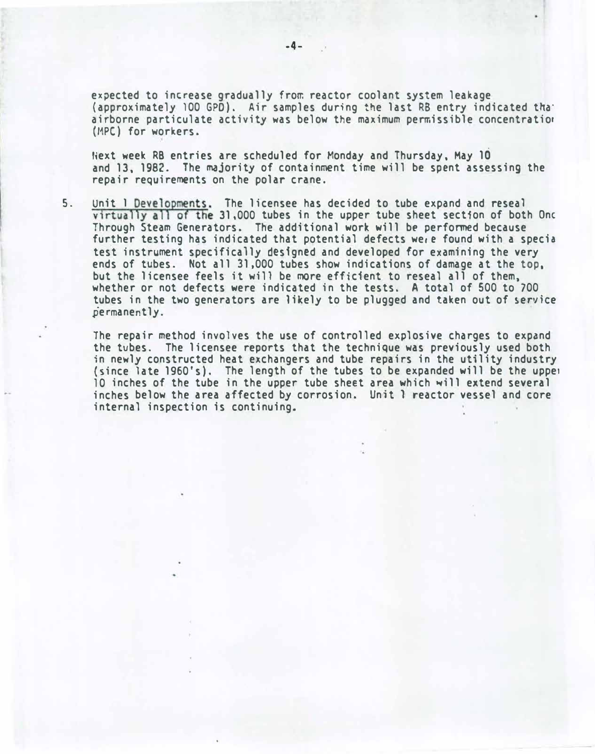expected to increase gradually from reactor coolant system leakage (approximately 100 GPO). Air samples during the last RS entry indicated tha· airborne particulate activity was below the maximum permissible concentratior (MPC) for workers.

Next week RB entries are scheduled for Monday and Thursday, May 10 and 13, 1982. The majority of containment time will be spent assessing the repair requirements on the polar crane.

5. Unit 1 Developments. The licensee has decided to tube expand and reseal virtually all of the 31,000 tubes in the upper tube sheet section of both One Through Steam Generators. The additional work will be performed because further testing has indicated that potential defects were found with a specia test instrument specifically designed and developed for examining the very ends of tubes. Not all 31,000 tubes show indications of damage at the top. but the licensee feels it will be more efficient to reseal all of them, whether or not defects were indicated in the tests. A total of 500 to 700 tubes in the two generators are likely to be plugged and taken out of service permanently.

The repair method involves the use of controlled explosive charges to expand the tubes. The licensee reports that the technique was previously used both in newly constructed heat exchangers and tube repairs in the utility industry {since late 1960's). The length of the tubes to be expanded will be the uppe1 10 inches of the tube in the upper tube sheet area which will extend several inches below the area affected by corrosion. Unit ? reactor vessel and core internal inspection is continuing.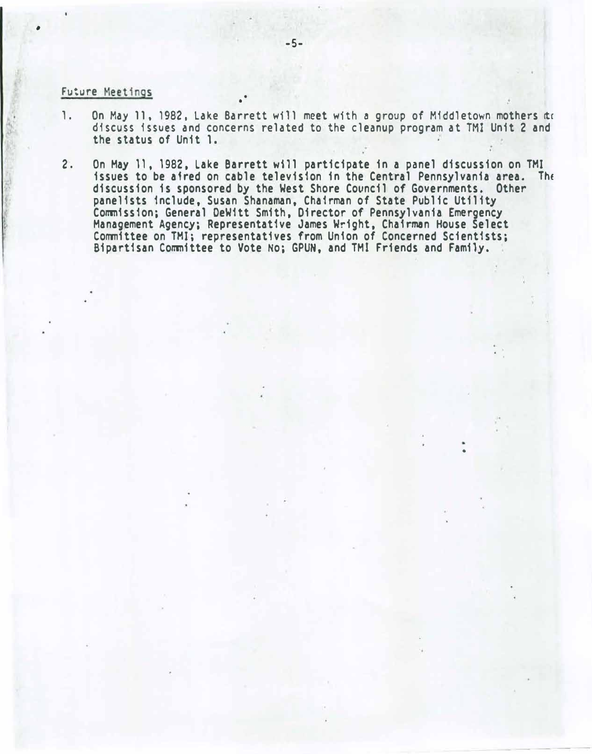### Future Meetings

•

- 1. On May 11, 1982, Lake Barrett will meet with a group of Middletown mothers at discuss issues and concerns related to the cleanup program at TMI Unit 2 and the status of Unit 1.
- 2. On May 11, 1982, Lake Barrett will participate in a panel discussion on TMI issues to be aired on cable television in the Central Pennsylvania area. The discussion is sponsored by the West Shore Council of Governments. Other panelists include, Susan Shanaman, Chairman of State Public Utility Commission; General DeWitt Smith, Director of Pennsylvania Emergency Management Agency; Representative James Wright, Chairman House Select Committee on TMI; representatives from Union of Concerned Scientists; Bipartisan Committee to Vote No; GPUN, and TMI Friends and Family.

•

•